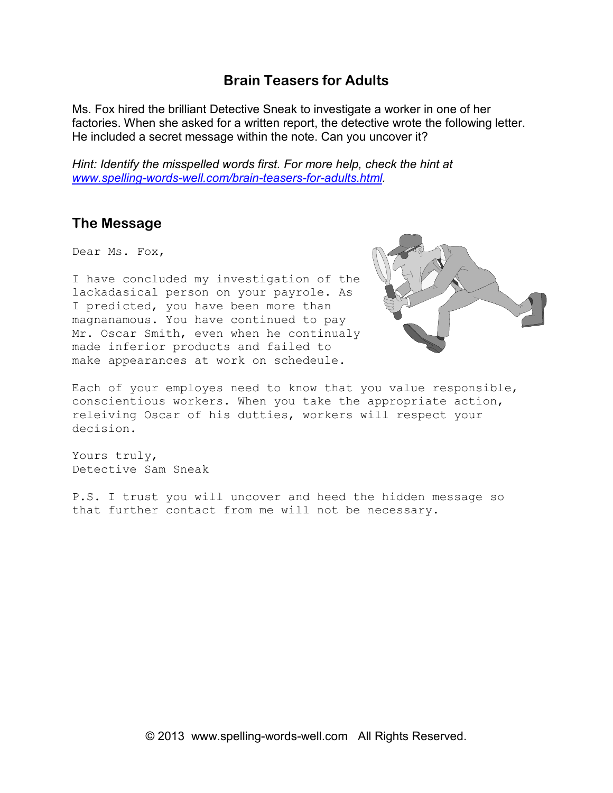## **Brain Teasers for Adults**

Ms. Fox hired the brilliant Detective Sneak to investigate a worker in one of her factories. When she asked for a written report, the detective wrote the following letter. He included a secret message within the note. Can you uncover it?

*Hint: Identify the misspelled words first. For more help, check the hint at www.spelling-words-well.com/brain-teasers-for-adults.html.* 

## **The Message**

Dear Ms. Fox,

I have concluded my investigation of the lackadasical person on your payrole. As I predicted, you have been more than magnanamous. You have continued to pay Mr. Oscar Smith, even when he continualy made inferior products and failed to make appearances at work on schedeule.



Each of your employes need to know that you value responsible, conscientious workers. When you take the appropriate action, releiving Oscar of his dutties, workers will respect your decision.

Yours truly, Detective Sam Sneak

P.S. I trust you will uncover and heed the hidden message so that further contact from me will not be necessary.